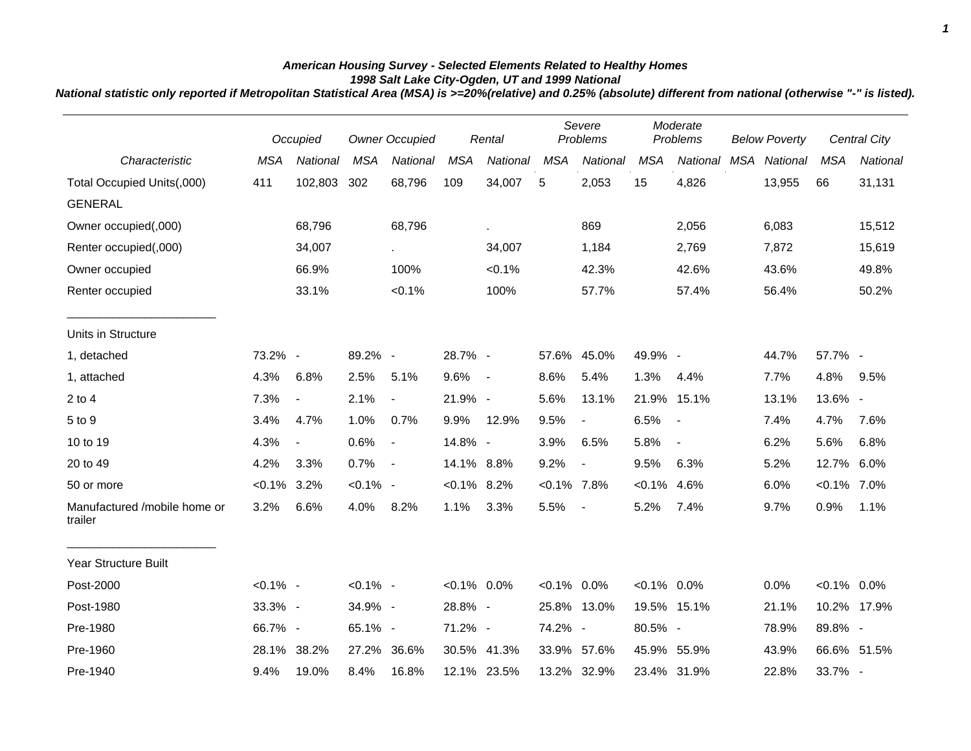## *American Housing Survey - Selected Elements Related to Healthy Homes 1998 Salt Lake City-Ogden, UT and 1999 National*

*National statistic only reported if Metropolitan Statistical Area (MSA) is >=20%(relative) and 0.25% (absolute) different from national (otherwise "-" is listed).*

|                                         |                | Occupied                 |             | <b>Owner Occupied</b>       |                | Rental      |                | Severe<br>Problems       |                | Moderate<br>Problems     |  | <b>Below Poverty</b> |                | Central City |
|-----------------------------------------|----------------|--------------------------|-------------|-----------------------------|----------------|-------------|----------------|--------------------------|----------------|--------------------------|--|----------------------|----------------|--------------|
| Characteristic                          | <b>MSA</b>     | National                 | <b>MSA</b>  | National                    | <b>MSA</b>     | National    | <b>MSA</b>     | National                 | <b>MSA</b>     | National                 |  | MSA National         | <b>MSA</b>     | National     |
| Total Occupied Units(,000)              | 411            | 102,803                  | 302         | 68,796                      | 109            | 34,007      | 5              | 2,053                    | 15             | 4,826                    |  | 13,955               | 66             | 31,131       |
| <b>GENERAL</b>                          |                |                          |             |                             |                |             |                |                          |                |                          |  |                      |                |              |
| Owner occupied(,000)                    |                | 68,796                   |             | 68,796                      |                |             |                | 869                      |                | 2,056                    |  | 6,083                |                | 15,512       |
| Renter occupied(,000)                   |                | 34,007                   |             | $\mathcal{L}_{\mathcal{A}}$ |                | 34,007      |                | 1,184                    |                | 2,769                    |  | 7,872                |                | 15,619       |
| Owner occupied                          |                | 66.9%                    |             | 100%                        |                | < 0.1%      |                | 42.3%                    |                | 42.6%                    |  | 43.6%                |                | 49.8%        |
| Renter occupied                         |                | 33.1%                    |             | $< 0.1\%$                   |                | 100%        |                | 57.7%                    |                | 57.4%                    |  | 56.4%                |                | 50.2%        |
| Units in Structure                      |                |                          |             |                             |                |             |                |                          |                |                          |  |                      |                |              |
| 1, detached                             | 73.2% -        |                          | 89.2% -     |                             | 28.7% -        |             | 57.6%          | 45.0%                    | 49.9% -        |                          |  | 44.7%                | 57.7% -        |              |
| 1, attached                             | 4.3%           | 6.8%                     | 2.5%        | 5.1%                        | 9.6%           | $\sim$      | 8.6%           | 5.4%                     | 1.3%           | 4.4%                     |  | 7.7%                 | 4.8%           | 9.5%         |
| $2$ to 4                                | 7.3%           | $\overline{\phantom{a}}$ | 2.1%        | $\blacksquare$              | 21.9% -        |             | 5.6%           | 13.1%                    |                | 21.9% 15.1%              |  | 13.1%                | 13.6% -        |              |
| 5 to 9                                  | 3.4%           | 4.7%                     | 1.0%        | 0.7%                        | 9.9%           | 12.9%       | 9.5%           | $\blacksquare$           | 6.5%           | $\overline{\phantom{a}}$ |  | 7.4%                 | 4.7%           | 7.6%         |
| 10 to 19                                | 4.3%           | $\blacksquare$           | 0.6%        | $\blacksquare$              | 14.8% -        |             | 3.9%           | 6.5%                     | 5.8%           | $\overline{\phantom{a}}$ |  | 6.2%                 | 5.6%           | 6.8%         |
| 20 to 49                                | 4.2%           | 3.3%                     | 0.7%        | $\overline{\phantom{a}}$    | 14.1% 8.8%     |             | 9.2%           | $\overline{\phantom{a}}$ | 9.5%           | 6.3%                     |  | 5.2%                 | 12.7%          | 6.0%         |
| 50 or more                              | $< 0.1\%$ 3.2% |                          | $< 0.1\%$ - |                             | $< 0.1\%$ 8.2% |             | $< 0.1\%$ 7.8% |                          | $< 0.1\%$      | 4.6%                     |  | 6.0%                 | $< 0.1\%$ 7.0% |              |
| Manufactured /mobile home or<br>trailer | 3.2%           | 6.6%                     | 4.0%        | 8.2%                        | 1.1%           | 3.3%        | 5.5%           | $\overline{\phantom{a}}$ | 5.2%           | 7.4%                     |  | 9.7%                 | 0.9%           | 1.1%         |
| <b>Year Structure Built</b>             |                |                          |             |                             |                |             |                |                          |                |                          |  |                      |                |              |
| Post-2000                               | $< 0.1\%$ -    |                          | $< 0.1\%$ - |                             | $< 0.1\%$ 0.0% |             | $<0.1\%$ 0.0%  |                          | $< 0.1\%$ 0.0% |                          |  | 0.0%                 | $< 0.1\%$ 0.0% |              |
| Post-1980                               | 33.3% -        |                          | 34.9% -     |                             | 28.8% -        |             |                | 25.8% 13.0%              |                | 19.5% 15.1%              |  | 21.1%                | 10.2% 17.9%    |              |
| Pre-1980                                | 66.7% -        |                          | 65.1% -     |                             | 71.2% -        |             | 74.2% -        |                          | 80.5% -        |                          |  | 78.9%                | 89.8% -        |              |
| Pre-1960                                | 28.1%          | 38.2%                    | 27.2%       | 36.6%                       |                | 30.5% 41.3% |                | 33.9% 57.6%              | 45.9% 55.9%    |                          |  | 43.9%                | 66.6% 51.5%    |              |
| Pre-1940                                | 9.4%           | 19.0%                    | 8.4%        | 16.8%                       |                | 12.1% 23.5% |                | 13.2% 32.9%              |                | 23.4% 31.9%              |  | 22.8%                | 33.7% -        |              |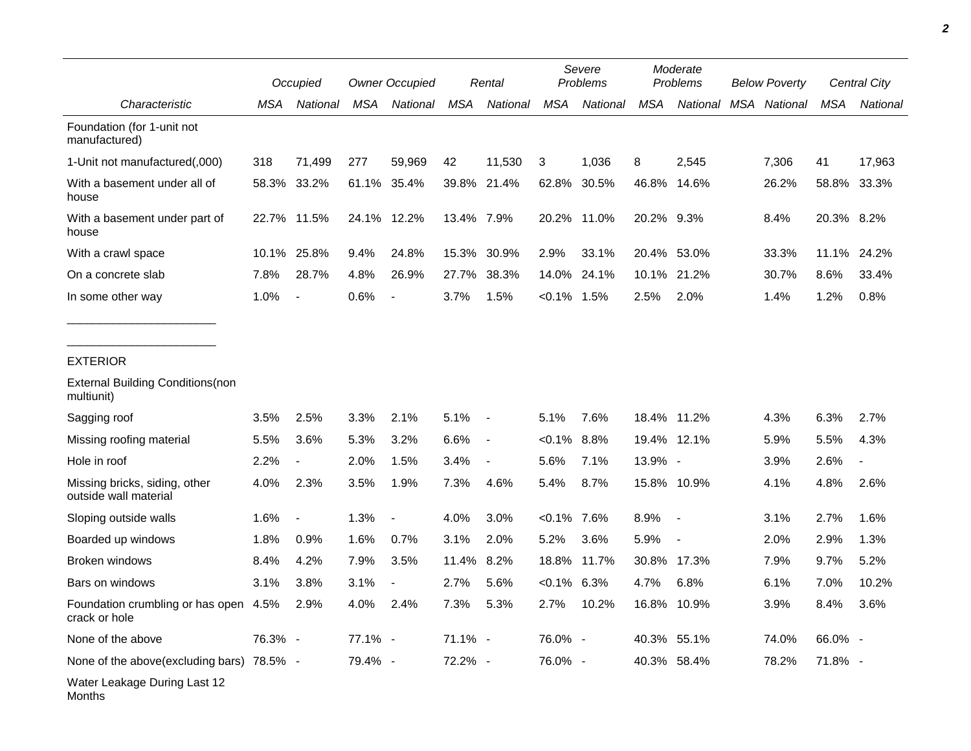|                                                        |         | Occupied                 |             | <b>Owner Occupied</b>    |            | Rental         |                | Severe<br>Problems |            | Moderate<br>Problems     | <b>Below Poverty</b> |              |            | Central City             |
|--------------------------------------------------------|---------|--------------------------|-------------|--------------------------|------------|----------------|----------------|--------------------|------------|--------------------------|----------------------|--------------|------------|--------------------------|
| Characteristic                                         | MSA     | National                 | <b>MSA</b>  | National                 | <b>MSA</b> | National       | <b>MSA</b>     | National           | <b>MSA</b> | National                 |                      | MSA National | MSA        | National                 |
| Foundation (for 1-unit not<br>manufactured)            |         |                          |             |                          |            |                |                |                    |            |                          |                      |              |            |                          |
| 1-Unit not manufactured(,000)                          | 318     | 71,499                   | 277         | 59,969                   | 42         | 11,530         | 3              | 1,036              | 8          | 2,545                    |                      | 7,306        | 41         | 17,963                   |
| With a basement under all of<br>house                  |         | 58.3% 33.2%              | 61.1%       | 35.4%                    | 39.8%      | 21.4%          | 62.8%          | 30.5%              | 46.8%      | 14.6%                    |                      | 26.2%        | 58.8%      | 33.3%                    |
| With a basement under part of<br>house                 |         | 22.7% 11.5%              | 24.1% 12.2% |                          | 13.4% 7.9% |                |                | 20.2% 11.0%        | 20.2% 9.3% |                          |                      | 8.4%         | 20.3% 8.2% |                          |
| With a crawl space                                     |         | 10.1% 25.8%              | 9.4%        | 24.8%                    | 15.3%      | 30.9%          | 2.9%           | 33.1%              | 20.4%      | 53.0%                    |                      | 33.3%        |            | 11.1% 24.2%              |
| On a concrete slab                                     | 7.8%    | 28.7%                    | 4.8%        | 26.9%                    | 27.7%      | 38.3%          | 14.0%          | 24.1%              | 10.1%      | 21.2%                    |                      | 30.7%        | 8.6%       | 33.4%                    |
| In some other way                                      | 1.0%    | $\overline{\phantom{a}}$ | 0.6%        | $\overline{\phantom{a}}$ | 3.7%       | 1.5%           | $< 0.1\%$      | 1.5%               | 2.5%       | 2.0%                     |                      | 1.4%         | 1.2%       | 0.8%                     |
| <b>EXTERIOR</b>                                        |         |                          |             |                          |            |                |                |                    |            |                          |                      |              |            |                          |
| <b>External Building Conditions (non</b><br>multiunit) |         |                          |             |                          |            |                |                |                    |            |                          |                      |              |            |                          |
| Sagging roof                                           | 3.5%    | 2.5%                     | 3.3%        | 2.1%                     | 5.1%       | $\blacksquare$ | 5.1%           | 7.6%               |            | 18.4% 11.2%              |                      | 4.3%         | 6.3%       | 2.7%                     |
| Missing roofing material                               | 5.5%    | 3.6%                     | 5.3%        | 3.2%                     | 6.6%       | $\blacksquare$ | $< 0.1\%$      | 8.8%               |            | 19.4% 12.1%              |                      | 5.9%         | 5.5%       | 4.3%                     |
| Hole in roof                                           | 2.2%    | $\blacksquare$           | 2.0%        | 1.5%                     | 3.4%       | $\overline{a}$ | 5.6%           | 7.1%               | 13.9% -    |                          |                      | 3.9%         | 2.6%       | $\overline{\phantom{a}}$ |
| Missing bricks, siding, other<br>outside wall material | 4.0%    | 2.3%                     | 3.5%        | 1.9%                     | 7.3%       | 4.6%           | 5.4%           | 8.7%               |            | 15.8% 10.9%              |                      | 4.1%         | 4.8%       | 2.6%                     |
| Sloping outside walls                                  | 1.6%    | $\overline{\phantom{a}}$ | 1.3%        | $\overline{\phantom{a}}$ | 4.0%       | 3.0%           | $< 0.1\%$ 7.6% |                    | 8.9%       | $\overline{\phantom{a}}$ |                      | 3.1%         | 2.7%       | 1.6%                     |
| Boarded up windows                                     | 1.8%    | 0.9%                     | 1.6%        | 0.7%                     | 3.1%       | 2.0%           | 5.2%           | 3.6%               | 5.9%       | $\overline{\phantom{a}}$ |                      | 2.0%         | 2.9%       | 1.3%                     |
| <b>Broken windows</b>                                  | 8.4%    | 4.2%                     | 7.9%        | 3.5%                     | 11.4%      | 8.2%           | 18.8%          | 11.7%              | 30.8%      | 17.3%                    |                      | 7.9%         | 9.7%       | 5.2%                     |
| Bars on windows                                        | 3.1%    | 3.8%                     | 3.1%        | $\overline{\phantom{a}}$ | 2.7%       | 5.6%           | $< 0.1\%$ 6.3% |                    | 4.7%       | 6.8%                     |                      | 6.1%         | 7.0%       | 10.2%                    |
| Foundation crumbling or has open 4.5%<br>crack or hole |         | 2.9%                     | 4.0%        | 2.4%                     | 7.3%       | 5.3%           | 2.7%           | 10.2%              | 16.8%      | 10.9%                    |                      | 3.9%         | 8.4%       | 3.6%                     |
| None of the above                                      | 76.3% - |                          | 77.1% -     |                          | 71.1% -    |                | 76.0% -        |                    | 40.3%      | 55.1%                    |                      | 74.0%        | 66.0% -    |                          |
| None of the above (excluding bars) $78.5\%$ -          |         |                          | 79.4% -     |                          | 72.2% -    |                | 76.0% -        |                    |            | 40.3% 58.4%              |                      | 78.2%        | 71.8% -    |                          |
| Water Leakage During Last 12                           |         |                          |             |                          |            |                |                |                    |            |                          |                      |              |            |                          |

Months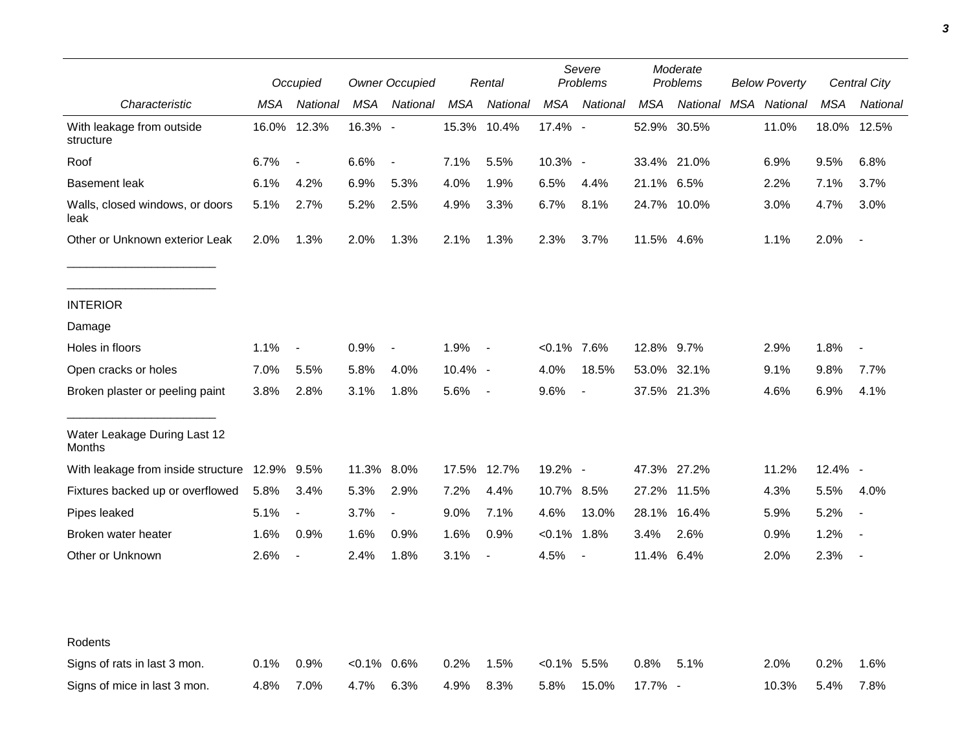|                                         |            | Occupied                 | <b>Owner Occupied</b> |                | Rental  |                | Severe<br>Problems |                | Moderate<br><b>Problems</b> |             | <b>Below Poverty</b> |          | Central City |                |
|-----------------------------------------|------------|--------------------------|-----------------------|----------------|---------|----------------|--------------------|----------------|-----------------------------|-------------|----------------------|----------|--------------|----------------|
| Characteristic                          | <b>MSA</b> | National                 | MSA                   | National       | MSA     | National       | MSA                | National       | MSA                         | National    | MSA                  | National | MSA          | National       |
| With leakage from outside<br>structure  |            | 16.0% 12.3%              | 16.3% -               |                |         | 15.3% 10.4%    | 17.4% -            |                |                             | 52.9% 30.5% |                      | 11.0%    |              | 18.0% 12.5%    |
| Roof                                    | 6.7%       | $\overline{\phantom{a}}$ | 6.6%                  | $\blacksquare$ | 7.1%    | 5.5%           | 10.3% -            |                |                             | 33.4% 21.0% |                      | 6.9%     | 9.5%         | 6.8%           |
| <b>Basement leak</b>                    | 6.1%       | 4.2%                     | 6.9%                  | 5.3%           | 4.0%    | 1.9%           | 6.5%               | 4.4%           | 21.1%                       | $6.5\%$     |                      | 2.2%     | 7.1%         | 3.7%           |
| Walls, closed windows, or doors<br>leak | 5.1%       | 2.7%                     | 5.2%                  | 2.5%           | 4.9%    | 3.3%           | 6.7%               | 8.1%           |                             | 24.7% 10.0% |                      | 3.0%     | 4.7%         | 3.0%           |
| Other or Unknown exterior Leak          | 2.0%       | 1.3%                     | 2.0%                  | 1.3%           | 2.1%    | 1.3%           | 2.3%               | 3.7%           | 11.5% 4.6%                  |             |                      | 1.1%     | 2.0%         | $\blacksquare$ |
| <b>INTERIOR</b>                         |            |                          |                       |                |         |                |                    |                |                             |             |                      |          |              |                |
| Damage                                  |            |                          |                       |                |         |                |                    |                |                             |             |                      |          |              |                |
| Holes in floors                         | 1.1%       | $\overline{\phantom{a}}$ | 0.9%                  | $\blacksquare$ | 1.9%    | $\sim$ $-$     | $< 0.1\%$ 7.6%     |                | 12.8% 9.7%                  |             |                      | 2.9%     | 1.8%         |                |
| Open cracks or holes                    | 7.0%       | 5.5%                     | 5.8%                  | 4.0%           | 10.4% - |                | 4.0%               | 18.5%          | 53.0%                       | 32.1%       |                      | 9.1%     | 9.8%         | 7.7%           |
| Broken plaster or peeling paint         | 3.8%       | 2.8%                     | 3.1%                  | 1.8%           | 5.6%    | $\sim$         | 9.6%               | $\blacksquare$ |                             | 37.5% 21.3% |                      | 4.6%     | 6.9%         | 4.1%           |
| Water Leakage During Last 12<br>Months  |            |                          |                       |                |         |                |                    |                |                             |             |                      |          |              |                |
| With leakage from inside structure      | 12.9% 9.5% |                          | 11.3% 8.0%            |                |         | 17.5% 12.7%    | 19.2% -            |                |                             | 47.3% 27.2% |                      | 11.2%    | $12.4\%$ -   |                |
| Fixtures backed up or overflowed        | 5.8%       | 3.4%                     | 5.3%                  | 2.9%           | 7.2%    | 4.4%           | 10.7% 8.5%         |                | 27.2%                       | 11.5%       |                      | 4.3%     | 5.5%         | 4.0%           |
| Pipes leaked                            | 5.1%       | $\overline{\phantom{a}}$ | 3.7%                  | $\blacksquare$ | 9.0%    | 7.1%           | 4.6%               | 13.0%          | 28.1%                       | 16.4%       |                      | 5.9%     | 5.2%         |                |
| Broken water heater                     | 1.6%       | 0.9%                     | 1.6%                  | 0.9%           | 1.6%    | 0.9%           | $< 0.1\%$          | 1.8%           | 3.4%                        | 2.6%        |                      | 0.9%     | 1.2%         |                |
| Other or Unknown                        | 2.6%       | $\overline{\phantom{a}}$ | 2.4%                  | 1.8%           | 3.1%    | $\blacksquare$ | 4.5%               | $\blacksquare$ | 11.4% 6.4%                  |             |                      | 2.0%     | 2.3%         | $\blacksquare$ |
| Rodents                                 |            |                          |                       |                |         |                |                    |                |                             |             |                      |          |              |                |
| Signs of rats in last 3 mon.            | 0.1%       | 0.9%                     | $<0.1\%$ 0.6%         |                | 0.2%    | 1.5%           | $< 0.1\%$ 5.5%     |                | 0.8%                        | 5.1%        |                      | 2.0%     | 0.2%         | 1.6%           |
| Signs of mice in last 3 mon.            | 4.8%       | 7.0%                     | 4.7%                  | 6.3%           | 4.9%    | 8.3%           | 5.8%               | 15.0%          | 17.7% -                     |             |                      | 10.3%    | 5.4%         | 7.8%           |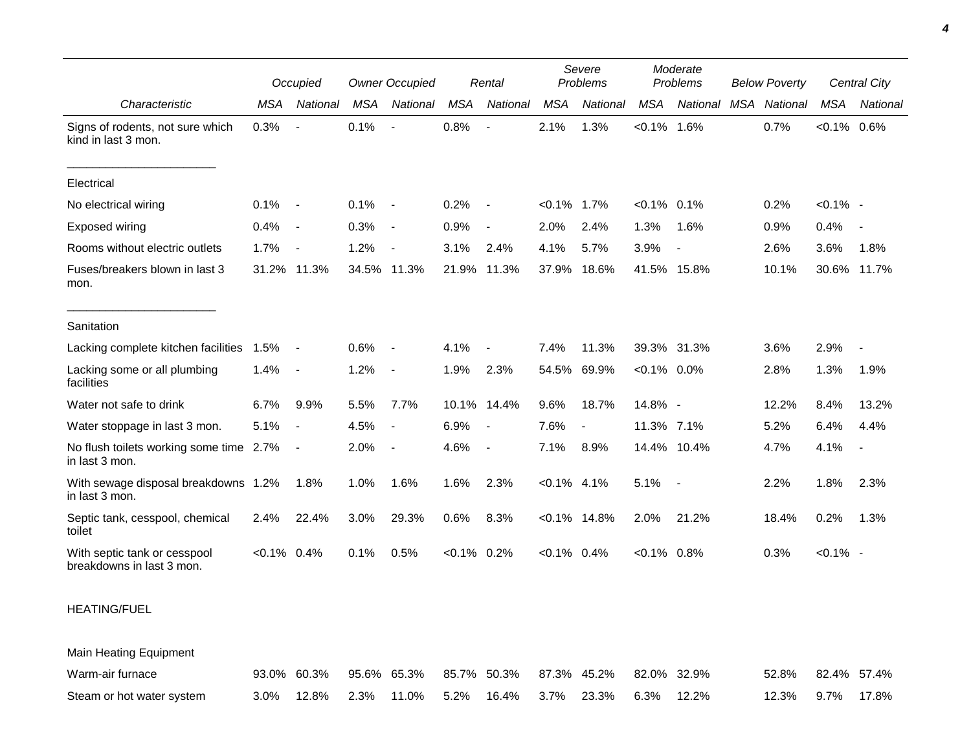|                                                           |                | Occupied                 |            | <b>Owner Occupied</b>    |                | Rental                   |                | Severe<br>Problems |                | Moderate<br>Problems |     | <b>Below Poverty</b> |                | Central City             |  |
|-----------------------------------------------------------|----------------|--------------------------|------------|--------------------------|----------------|--------------------------|----------------|--------------------|----------------|----------------------|-----|----------------------|----------------|--------------------------|--|
| Characteristic                                            | <b>MSA</b>     | National                 | <b>MSA</b> | <b>National</b>          | <b>MSA</b>     | National                 | <b>MSA</b>     | National           | <b>MSA</b>     | National             | MSA | National             | <b>MSA</b>     | National                 |  |
| Signs of rodents, not sure which<br>kind in last 3 mon.   | 0.3%           |                          | 0.1%       | $\sim$                   | 0.8%           | $\blacksquare$           | 2.1%           | 1.3%               | $< 0.1\%$ 1.6% |                      |     | 0.7%                 | $< 0.1\%$ 0.6% |                          |  |
| Electrical                                                |                |                          |            |                          |                |                          |                |                    |                |                      |     |                      |                |                          |  |
| No electrical wiring                                      | 0.1%           | $\overline{\phantom{a}}$ | 0.1%       | $\sim$                   | 0.2%           | $\overline{\phantom{a}}$ | $< 0.1\%$ 1.7% |                    | $< 0.1\%$ 0.1% |                      |     | 0.2%                 | $< 0.1\%$ -    |                          |  |
| <b>Exposed wiring</b>                                     | 0.4%           | $\overline{\phantom{a}}$ | 0.3%       | $\overline{\phantom{a}}$ | 0.9%           | $\blacksquare$           | 2.0%           | 2.4%               | 1.3%           | 1.6%                 |     | 0.9%                 | 0.4%           | $\overline{\phantom{a}}$ |  |
| Rooms without electric outlets                            | 1.7%           | $\sim$                   | 1.2%       | $\overline{\phantom{a}}$ | 3.1%           | 2.4%                     | 4.1%           | 5.7%               | 3.9%           | $\blacksquare$       |     | 2.6%                 | 3.6%           | 1.8%                     |  |
| Fuses/breakers blown in last 3<br>mon.                    | 31.2%          | 11.3%                    | 34.5%      | 11.3%                    | 21.9%          | 11.3%                    | 37.9%          | 18.6%              | 41.5% 15.8%    |                      |     | 10.1%                | 30.6%          | 11.7%                    |  |
| Sanitation                                                |                |                          |            |                          |                |                          |                |                    |                |                      |     |                      |                |                          |  |
| Lacking complete kitchen facilities 1.5%                  |                | $\overline{\phantom{a}}$ | 0.6%       | $\overline{\phantom{a}}$ | 4.1%           |                          | 7.4%           | 11.3%              |                | 39.3% 31.3%          |     | 3.6%                 | 2.9%           |                          |  |
| Lacking some or all plumbing<br>facilities                | 1.4%           |                          | 1.2%       | $\blacksquare$           | 1.9%           | 2.3%                     | 54.5%          | 69.9%              | $< 0.1\%$ 0.0% |                      |     | 2.8%                 | 1.3%           | 1.9%                     |  |
| Water not safe to drink                                   | 6.7%           | 9.9%                     | 5.5%       | 7.7%                     |                | 10.1% 14.4%              | 9.6%           | 18.7%              | 14.8% -        |                      |     | 12.2%                | 8.4%           | 13.2%                    |  |
| Water stoppage in last 3 mon.                             | 5.1%           | $\overline{\phantom{a}}$ | 4.5%       | $\blacksquare$           | 6.9%           | $\overline{\phantom{a}}$ | 7.6%           | $\blacksquare$     | 11.3% 7.1%     |                      |     | 5.2%                 | 6.4%           | 4.4%                     |  |
| No flush toilets working some time 2.7%<br>in last 3 mon. |                |                          | 2.0%       | $\blacksquare$           | 4.6%           | $\overline{\phantom{a}}$ | 7.1%           | 8.9%               |                | 14.4% 10.4%          |     | 4.7%                 | 4.1%           | $\overline{\phantom{a}}$ |  |
| With sewage disposal breakdowns 1.2%<br>in last 3 mon.    |                | 1.8%                     | 1.0%       | 1.6%                     | 1.6%           | 2.3%                     | $< 0.1\%$ 4.1% |                    | 5.1%           | $\sim$               |     | 2.2%                 | 1.8%           | 2.3%                     |  |
| Septic tank, cesspool, chemical<br>toilet                 | 2.4%           | 22.4%                    | 3.0%       | 29.3%                    | 0.6%           | 8.3%                     |                | $< 0.1\%$ 14.8%    | 2.0%           | 21.2%                |     | 18.4%                | 0.2%           | 1.3%                     |  |
| With septic tank or cesspool<br>breakdowns in last 3 mon. | $< 0.1\%$ 0.4% |                          | 0.1%       | 0.5%                     | $< 0.1\%$ 0.2% |                          | $< 0.1\%$ 0.4% |                    | $< 0.1\%$ 0.8% |                      |     | 0.3%                 | $< 0.1\%$ -    |                          |  |

## HEATING/FUEL

Main Heating Equipment Warm-air furnace 93.0% 60.3% 95.6% 65.3% 85.7% 50.3% 87.3% 45.2% 82.0% 32.9% 52.8% 82.4% 57.4% Steam or hot water system 3.0% 12.8% 2.3% 11.0% 5.2% 16.4% 3.7% 23.3% 6.3% 12.2% 12.3% 9.7% 17.8%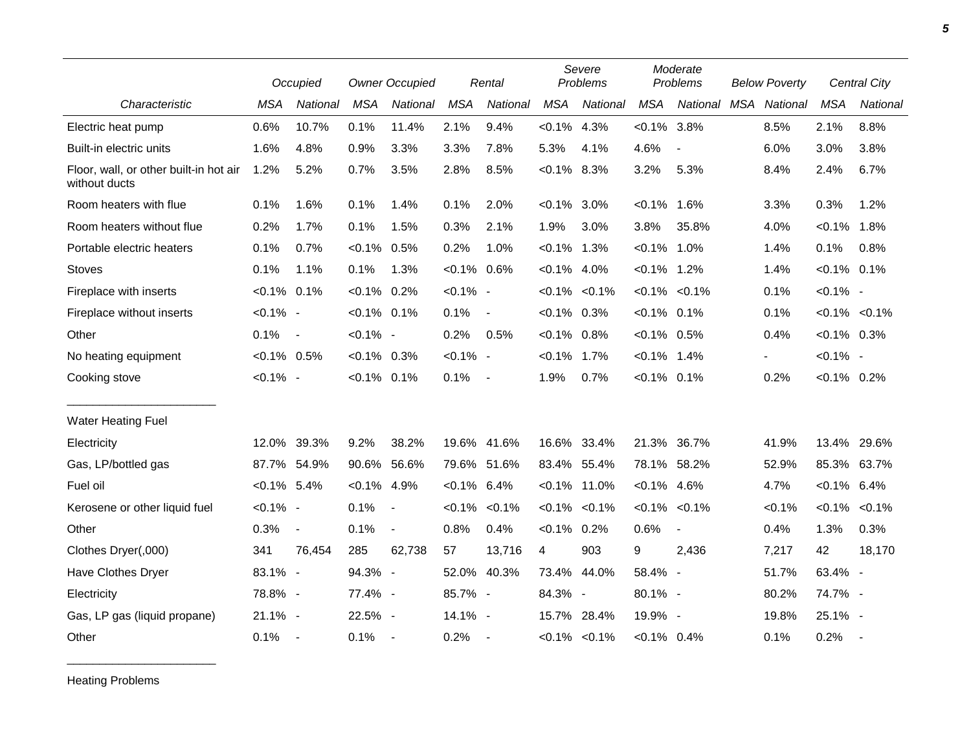|                                                         |                | Occupied                 |                | <b>Owner Occupied</b>    |                     | Rental                   |                | Severe<br>Problems  |                | Moderate<br>Problems |  | <b>Below Poverty</b> |                     | Central City             |
|---------------------------------------------------------|----------------|--------------------------|----------------|--------------------------|---------------------|--------------------------|----------------|---------------------|----------------|----------------------|--|----------------------|---------------------|--------------------------|
| Characteristic                                          | <b>MSA</b>     | National                 | <b>MSA</b>     | National                 | <b>MSA</b>          | National                 | <b>MSA</b>     | National            | MSA            | National MSA         |  | National             | <b>MSA</b>          | National                 |
| Electric heat pump                                      | 0.6%           | 10.7%                    | 0.1%           | 11.4%                    | 2.1%                | 9.4%                     | $< 0.1\%$ 4.3% |                     | $< 0.1\%$ 3.8% |                      |  | 8.5%                 | 2.1%                | 8.8%                     |
| Built-in electric units                                 | 1.6%           | 4.8%                     | 0.9%           | 3.3%                     | 3.3%                | 7.8%                     | 5.3%           | 4.1%                | 4.6%           | $\overline{a}$       |  | 6.0%                 | 3.0%                | 3.8%                     |
| Floor, wall, or other built-in hot air<br>without ducts | 1.2%           | 5.2%                     | 0.7%           | 3.5%                     | 2.8%                | 8.5%                     | $<0.1\%$ 8.3%  |                     | 3.2%           | 5.3%                 |  | 8.4%                 | 2.4%                | 6.7%                     |
| Room heaters with flue                                  | 0.1%           | 1.6%                     | 0.1%           | 1.4%                     | 0.1%                | 2.0%                     | $< 0.1\%$      | 3.0%                | $< 0.1\%$      | 1.6%                 |  | 3.3%                 | 0.3%                | 1.2%                     |
| Room heaters without flue                               | 0.2%           | 1.7%                     | 0.1%           | 1.5%                     | 0.3%                | 2.1%                     | 1.9%           | 3.0%                | 3.8%           | 35.8%                |  | 4.0%                 | $< 0.1\%$           | 1.8%                     |
| Portable electric heaters                               | 0.1%           | 0.7%                     | $< 0.1\%$ 0.5% |                          | 0.2%                | 1.0%                     | $< 0.1\%$ 1.3% |                     | $< 0.1\%$      | 1.0%                 |  | 1.4%                 | 0.1%                | 0.8%                     |
| <b>Stoves</b>                                           | 0.1%           | 1.1%                     | 0.1%           | 1.3%                     | $< 0.1\%$ 0.6%      |                          | $< 0.1\%$ 4.0% |                     | $< 0.1\%$ 1.2% |                      |  | 1.4%                 | $< 0.1\%$ 0.1%      |                          |
| Fireplace with inserts                                  | $< 0.1\%$ 0.1% |                          | $< 0.1\%$ 0.2% |                          | $< 0.1\%$ -         |                          |                | $< 0.1\%$ < 0.1%    | $< 0.1\%$      | $< 0.1\%$            |  | 0.1%                 | $< 0.1\%$ -         |                          |
| Fireplace without inserts                               | $< 0.1\%$ -    |                          | $< 0.1\%$ 0.1% |                          | 0.1%                | $\overline{\phantom{a}}$ | $<0.1\%$ 0.3%  |                     | $< 0.1\%$      | 0.1%                 |  | 0.1%                 | $< 0.1\%$ $< 0.1\%$ |                          |
| Other                                                   | 0.1%           | $\overline{\phantom{a}}$ | $< 0.1\%$ -    |                          | 0.2%                | 0.5%                     | $< 0.1\%$ 0.8% |                     | $< 0.1\%$ 0.5% |                      |  | 0.4%                 | $<0.1\%$ 0.3%       |                          |
| No heating equipment                                    | $< 0.1\%$ 0.5% |                          | $< 0.1\%$ 0.3% |                          | $< 0.1\%$ -         |                          | $< 0.1\%$      | 1.7%                | $< 0.1\%$      | 1.4%                 |  |                      | $< 0.1\%$ -         |                          |
| Cooking stove                                           | $< 0.1\%$ -    |                          | $< 0.1\%$ 0.1% |                          | 0.1%                | $\overline{\phantom{a}}$ | 1.9%           | 0.7%                | $< 0.1\%$ 0.1% |                      |  | 0.2%                 | $< 0.1\%$ 0.2%      |                          |
| <b>Water Heating Fuel</b>                               |                |                          |                |                          |                     |                          |                |                     |                |                      |  |                      |                     |                          |
| Electricity                                             | 12.0%          | 39.3%                    | 9.2%           | 38.2%                    | 19.6% 41.6%         |                          |                | 16.6% 33.4%         | 21.3%          | 36.7%                |  | 41.9%                | 13.4%               | 29.6%                    |
| Gas, LP/bottled gas                                     | 87.7%          | 54.9%                    | 90.6%          | 56.6%                    | 79.6%               | 51.6%                    |                | 83.4% 55.4%         | 78.1%          | 58.2%                |  | 52.9%                | 85.3%               | 63.7%                    |
| Fuel oil                                                | $< 0.1\%$ 5.4% |                          | $< 0.1\%$ 4.9% |                          | $< 0.1\%$ 6.4%      |                          |                | $< 0.1\%$ 11.0%     | $< 0.1\%$      | 4.6%                 |  | 4.7%                 | $< 0.1\%$           | 6.4%                     |
| Kerosene or other liquid fuel                           | $< 0.1\%$ -    |                          | 0.1%           | $\blacksquare$           | $< 0.1\%$ $< 0.1\%$ |                          |                | $< 0.1\%$ $< 0.1\%$ | $< 0.1\%$      | $< 0.1\%$            |  | < 0.1%               | $< 0.1\%$           | < 0.1%                   |
| Other                                                   | 0.3%           | $\blacksquare$           | 0.1%           | $\blacksquare$           | 0.8%                | 0.4%                     | $< 0.1\%$ 0.2% |                     | 0.6%           | $\blacksquare$       |  | 0.4%                 | 1.3%                | 0.3%                     |
| Clothes Dryer(,000)                                     | 341            | 76,454                   | 285            | 62,738                   | 57                  | 13,716                   | 4              | 903                 | 9              | 2,436                |  | 7,217                | 42                  | 18,170                   |
| <b>Have Clothes Dryer</b>                               | 83.1% -        |                          | 94.3% -        |                          | 52.0% 40.3%         |                          | 73.4%          | 44.0%               | 58.4% -        |                      |  | 51.7%                | 63.4% -             |                          |
| Electricity                                             | 78.8% -        |                          | 77.4% -        |                          | 85.7% -             |                          | 84.3% -        |                     | 80.1% -        |                      |  | 80.2%                | 74.7% -             |                          |
| Gas, LP gas (liquid propane)                            | 21.1% -        |                          | 22.5% -        |                          | 14.1% -             |                          |                | 15.7% 28.4%         | 19.9% -        |                      |  | 19.8%                | 25.1% -             |                          |
| Other                                                   | 0.1%           | $\sim$                   | 0.1%           | $\overline{\phantom{a}}$ | 0.2%                | $\overline{\phantom{a}}$ |                | $< 0.1\%$ $< 0.1\%$ | $< 0.1\%$ 0.4% |                      |  | 0.1%                 | 0.2%                | $\overline{\phantom{a}}$ |

Heating Problems

\_\_\_\_\_\_\_\_\_\_\_\_\_\_\_\_\_\_\_\_\_\_\_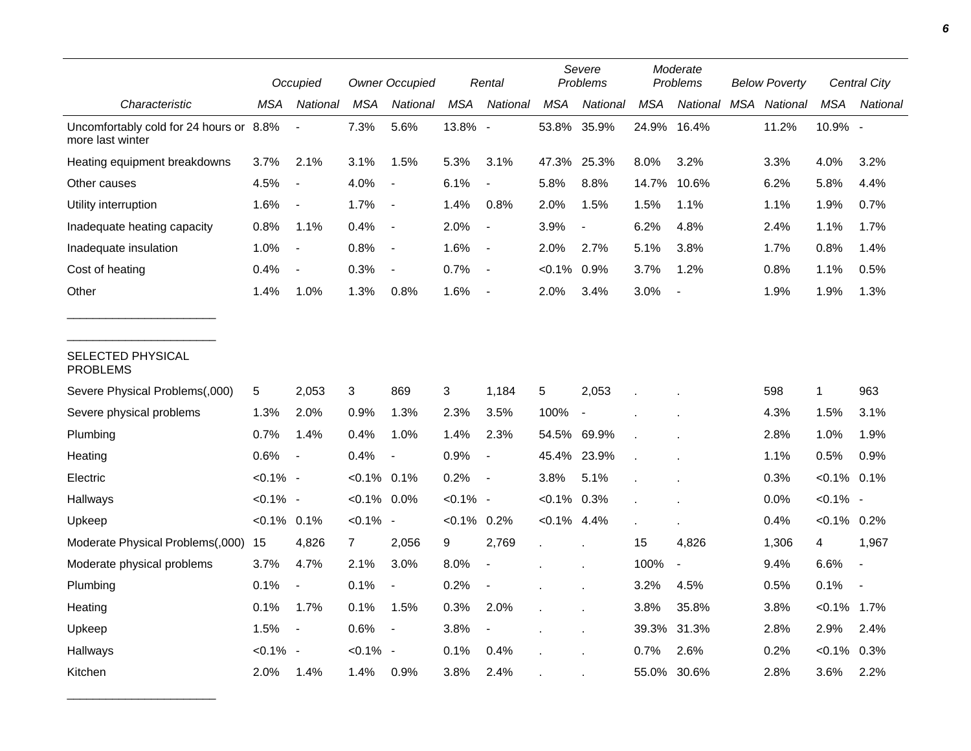|                                                             |                | Occupied                 |                | <b>Owner Occupied</b>    |                | Rental                   |                | Severe<br>Problems       |       | Moderate<br>Problems | <b>Below Poverty</b> |          | Central City   |          |
|-------------------------------------------------------------|----------------|--------------------------|----------------|--------------------------|----------------|--------------------------|----------------|--------------------------|-------|----------------------|----------------------|----------|----------------|----------|
| Characteristic                                              | MSA            | National                 | <b>MSA</b>     | National                 | <b>MSA</b>     | National                 | <b>MSA</b>     | National                 | MSA   | National             | <b>MSA</b>           | National | <b>MSA</b>     | National |
| Uncomfortably cold for 24 hours or 8.8%<br>more last winter |                |                          | 7.3%           | 5.6%                     | 13.8% -        |                          | 53.8%          | 35.9%                    |       | 24.9% 16.4%          |                      | 11.2%    | 10.9% -        |          |
| Heating equipment breakdowns                                | 3.7%           | 2.1%                     | 3.1%           | 1.5%                     | 5.3%           | 3.1%                     |                | 47.3% 25.3%              | 8.0%  | 3.2%                 |                      | 3.3%     | 4.0%           | 3.2%     |
| Other causes                                                | 4.5%           |                          | 4.0%           |                          | 6.1%           |                          | 5.8%           | 8.8%                     | 14.7% | 10.6%                |                      | 6.2%     | 5.8%           | 4.4%     |
| Utility interruption                                        | 1.6%           | $\overline{\phantom{a}}$ | 1.7%           | $\blacksquare$           | 1.4%           | 0.8%                     | 2.0%           | 1.5%                     | 1.5%  | 1.1%                 |                      | 1.1%     | 1.9%           | 0.7%     |
| Inadequate heating capacity                                 | 0.8%           | 1.1%                     | 0.4%           | $\overline{\phantom{a}}$ | 2.0%           | $\blacksquare$           | 3.9%           | $\overline{\phantom{a}}$ | 6.2%  | 4.8%                 |                      | 2.4%     | 1.1%           | 1.7%     |
| Inadequate insulation                                       | 1.0%           | $\overline{\phantom{a}}$ | 0.8%           | $\overline{\phantom{a}}$ | 1.6%           | $\sim$                   | 2.0%           | 2.7%                     | 5.1%  | 3.8%                 |                      | 1.7%     | 0.8%           | 1.4%     |
| Cost of heating                                             | 0.4%           |                          | 0.3%           | $\blacksquare$           | 0.7%           | $\sim$                   | $< 0.1\%$      | 0.9%                     | 3.7%  | 1.2%                 |                      | 0.8%     | 1.1%           | 0.5%     |
| Other                                                       | 1.4%           | 1.0%                     | 1.3%           | 0.8%                     | 1.6%           | $\overline{\phantom{a}}$ | 2.0%           | 3.4%                     | 3.0%  |                      |                      | 1.9%     | 1.9%           | 1.3%     |
| SELECTED PHYSICAL<br><b>PROBLEMS</b>                        |                |                          |                |                          |                |                          |                |                          |       |                      |                      |          |                |          |
| Severe Physical Problems(,000)                              | 5              | 2,053                    | 3              | 869                      | 3              | 1,184                    | 5              | 2,053                    |       |                      |                      | 598      | 1              | 963      |
| Severe physical problems                                    | 1.3%           | 2.0%                     | 0.9%           | 1.3%                     | 2.3%           | 3.5%                     | 100%           | $\blacksquare$           |       |                      |                      | 4.3%     | 1.5%           | 3.1%     |
| Plumbing                                                    | 0.7%           | 1.4%                     | 0.4%           | 1.0%                     | 1.4%           | 2.3%                     |                | 54.5% 69.9%              |       |                      |                      | 2.8%     | 1.0%           | 1.9%     |
| Heating                                                     | 0.6%           | $\overline{\phantom{a}}$ | 0.4%           | $\blacksquare$           | 0.9%           | $\blacksquare$           |                | 45.4% 23.9%              |       |                      |                      | 1.1%     | 0.5%           | 0.9%     |
| Electric                                                    | $< 0.1\%$ -    |                          | $< 0.1\%$ 0.1% |                          | 0.2%           | $\sim$                   | 3.8%           | 5.1%                     |       |                      |                      | 0.3%     | $< 0.1\%$ 0.1% |          |
| Hallways                                                    | $< 0.1\%$ -    |                          | $< 0.1\%$ 0.0% |                          | $< 0.1\%$ -    |                          | $< 0.1\%$ 0.3% |                          |       |                      |                      | 0.0%     | $< 0.1\%$ -    |          |
| Upkeep                                                      | $< 0.1\%$ 0.1% |                          | $< 0.1\%$ -    |                          | $< 0.1\%$ 0.2% |                          | $< 0.1\%$ 4.4% |                          |       |                      |                      | 0.4%     | $< 0.1\%$ 0.2% |          |
| Moderate Physical Problems(,000)                            | 15             | 4,826                    | $\overline{7}$ | 2,056                    | 9              | 2,769                    |                |                          | 15    | 4,826                |                      | 1,306    | 4              | 1,967    |
| Moderate physical problems                                  | 3.7%           | 4.7%                     | 2.1%           | 3.0%                     | 8.0%           |                          |                |                          | 100%  | $\blacksquare$       |                      | 9.4%     | 6.6%           |          |
| Plumbing                                                    | 0.1%           | $\overline{a}$           | 0.1%           | $\blacksquare$           | 0.2%           |                          |                |                          | 3.2%  | 4.5%                 |                      | 0.5%     | 0.1%           |          |
| Heating                                                     | 0.1%           | 1.7%                     | 0.1%           | 1.5%                     | 0.3%           | 2.0%                     |                | $\mathbf{r}$             | 3.8%  | 35.8%                |                      | 3.8%     | $< 0.1\%$      | 1.7%     |
| Upkeep                                                      | 1.5%           | $\overline{\phantom{a}}$ | 0.6%           | $\overline{\phantom{a}}$ | 3.8%           | $\blacksquare$           |                |                          | 39.3% | 31.3%                |                      | 2.8%     | 2.9%           | 2.4%     |
| Hallways                                                    | $< 0.1\%$ -    |                          | $< 0.1\%$ -    |                          | 0.1%           | 0.4%                     |                |                          | 0.7%  | 2.6%                 |                      | 0.2%     | $< 0.1\%$ 0.3% |          |
| Kitchen                                                     | 2.0%           | 1.4%                     | 1.4%           | 0.9%                     | 3.8%           | 2.4%                     |                |                          |       | 55.0% 30.6%          |                      | 2.8%     | 3.6%           | 2.2%     |

\_\_\_\_\_\_\_\_\_\_\_\_\_\_\_\_\_\_\_\_\_\_\_